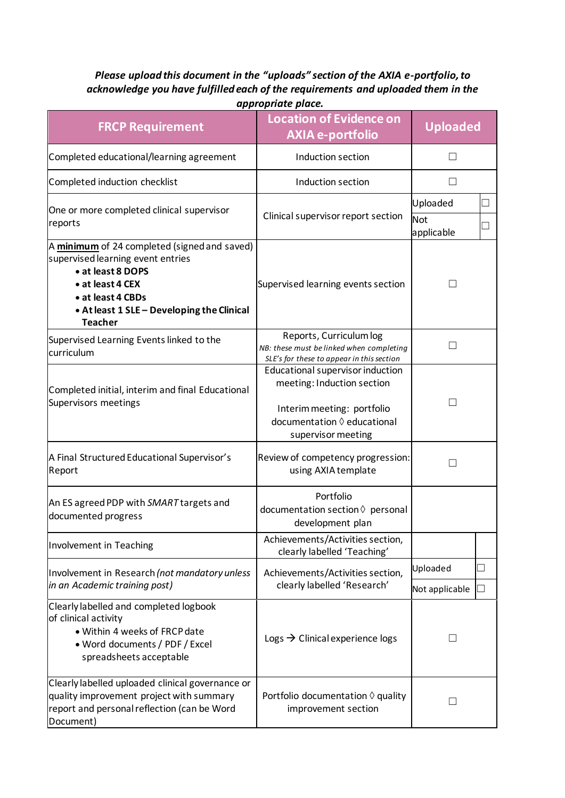## *Please upload this document in the "uploads" section of the AXIA e-portfolio, to acknowledge you have fulfilled each of the requirements and uploaded them in the*

| appropriate place.                                                                                                                                                                                              |                                                                                                                                                            |                               |    |  |
|-----------------------------------------------------------------------------------------------------------------------------------------------------------------------------------------------------------------|------------------------------------------------------------------------------------------------------------------------------------------------------------|-------------------------------|----|--|
| <b>FRCP Requirement</b>                                                                                                                                                                                         | <b>Location of Evidence on</b><br><b>AXIA e-portfolio</b>                                                                                                  | <b>Uploaded</b>               |    |  |
| Completed educational/learning agreement                                                                                                                                                                        | Induction section                                                                                                                                          |                               |    |  |
| Completed induction checklist                                                                                                                                                                                   | Induction section                                                                                                                                          | П                             |    |  |
| One or more completed clinical supervisor<br>reports                                                                                                                                                            | Clinical supervisor report section                                                                                                                         | Uploaded<br>Not<br>applicable |    |  |
| A minimum of 24 completed (signed and saved)<br>supervised learning event entries<br>• at least 8 DOPS<br>• at least 4 CEX<br>• at least 4 CBDs<br>• At least 1 SLE - Developing the Clinical<br><b>Teacher</b> | Supervised learning events section                                                                                                                         | $\blacksquare$                |    |  |
| Supervised Learning Events linked to the<br>curriculum                                                                                                                                                          | Reports, Curriculum log<br>NB: these must be linked when completing<br>SLE's for these to appear in this section                                           | $\mathbf{I}$                  |    |  |
| Completed initial, interim and final Educational<br>Supervisors meetings                                                                                                                                        | Educational supervisor induction<br>meeting: Induction section<br>Interim meeting: portfolio<br>documentation $\Diamond$ educational<br>supervisor meeting | $\mathsf{L}$                  |    |  |
| A Final Structured Educational Supervisor's<br>Report                                                                                                                                                           | Review of competency progression:<br>using AXIA template                                                                                                   |                               |    |  |
| An ES agreed PDP with SMART targets and<br>documented progress                                                                                                                                                  | Portfolio<br>documentation section $\Diamond$ personal<br>development plan                                                                                 |                               |    |  |
| Involvement in Teaching                                                                                                                                                                                         | Achievements/Activities section,<br>clearly labelled 'Teaching'                                                                                            |                               |    |  |
| Involvement in Research (not mandatory unless<br>in an Academic training post)                                                                                                                                  | Achievements/Activities section,<br>clearly labelled 'Research'                                                                                            | Uploaded                      | ×. |  |
|                                                                                                                                                                                                                 |                                                                                                                                                            | Not applicable                | J. |  |
| Clearly labelled and completed logbook<br>of clinical activity<br>. Within 4 weeks of FRCP date<br>• Word documents / PDF / Excel<br>spreadsheets acceptable                                                    | Logs $\rightarrow$ Clinical experience logs                                                                                                                | $\mathbf{L}$                  |    |  |
| Clearly labelled uploaded clinical governance or<br>quality improvement project with summary<br>report and personal reflection (can be Word<br>Document)                                                        | Portfolio documentation $\Diamond$ quality<br>improvement section                                                                                          | $\mathsf{L}$                  |    |  |